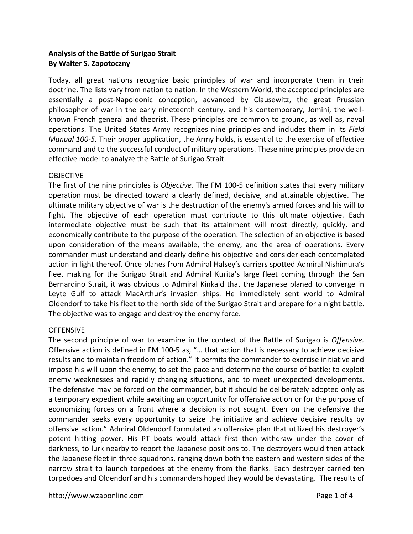# **Analysis of the Battle of Surigao Strait By Walter S. Zapotoczny**

Today, all great nations recognize basic principles of war and incorporate them in their doctrine. The lists vary from nation to nation. In the Western World, the accepted principles are essentially a post-Napoleonic conception, advanced by Clausewitz, the great Prussian philosopher of war in the early nineteenth century, and his contemporary, Jomini, the wellknown French general and theorist. These principles are common to ground, as well as, naval operations. The United States Army recognizes nine principles and includes them in its *Field Manual 100-5.* Their proper application, the Army holds, is essential to the exercise of effective command and to the successful conduct of military operations. These nine principles provide an effective model to analyze the Battle of Surigao Strait.

## OBJECTIVE

The first of the nine principles is *Objective.* The FM 100-5 definition states that every military operation must be directed toward a clearly defined, decisive, and attainable objective. The ultimate military objective of war is the destruction of the enemy's armed forces and his will to fight. The objective of each operation must contribute to this ultimate objective. Each intermediate objective must be such that its attainment will most directly, quickly, and economically contribute to the purpose of the operation. The selection of an objective is based upon consideration of the means available, the enemy, and the area of operations. Every commander must understand and clearly define his objective and consider each contemplated action in light thereof. Once planes from Admiral Halsey's carriers spotted Admiral Nishimura's fleet making for the Surigao Strait and Admiral Kurita's large fleet coming through the San Bernardino Strait, it was obvious to Admiral Kinkaid that the Japanese planed to converge in Leyte Gulf to attack MacArthur's invasion ships. He immediately sent world to Admiral Oldendorf to take his fleet to the north side of the Surigao Strait and prepare for a night battle. The objective was to engage and destroy the enemy force.

# **OFFENSIVE**

The second principle of war to examine in the context of the Battle of Surigao is *Offensive.*  Offensive action is defined in FM 100-5 as, "… that action that is necessary to achieve decisive results and to maintain freedom of action." It permits the commander to exercise initiative and impose his will upon the enemy; to set the pace and determine the course of battle; to exploit enemy weaknesses and rapidly changing situations, and to meet unexpected developments. The defensive may be forced on the commander, but it should be deliberately adopted only as a temporary expedient while awaiting an opportunity for offensive action or for the purpose of economizing forces on a front where a decision is not sought. Even on the defensive the commander seeks every opportunity to seize the initiative and achieve decisive results by offensive action." Admiral Oldendorf formulated an offensive plan that utilized his destroyer's potent hitting power. His PT boats would attack first then withdraw under the cover of darkness, to lurk nearby to report the Japanese positions to. The destroyers would then attack the Japanese fleet in three squadrons, ranging down both the eastern and western sides of the narrow strait to launch torpedoes at the enemy from the flanks. Each destroyer carried ten torpedoes and Oldendorf and his commanders hoped they would be devastating. The results of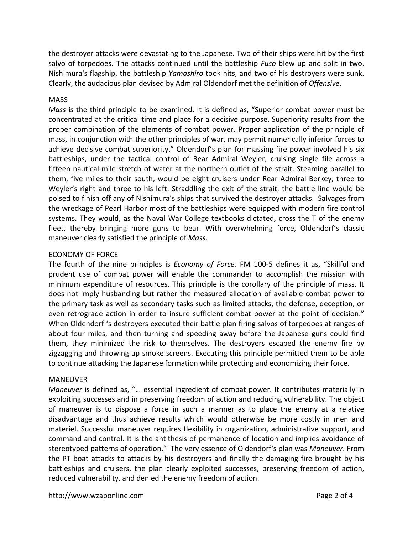the destroyer attacks were devastating to the Japanese. Two of their ships were hit by the first salvo of torpedoes. The attacks continued until the battleship *Fuso* blew up and split in two. Nishimura's flagship, the battleship *Yamashiro* took hits, and two of his destroyers were sunk. Clearly, the audacious plan devised by Admiral Oldendorf met the definition of *Offensive*.

## **MASS**

*Mass* is the third principle to be examined. It is defined as, "Superior combat power must be concentrated at the critical time and place for a decisive purpose. Superiority results from the proper combination of the elements of combat power. Proper application of the principle of mass, in conjunction with the other principles of war, may permit numerically inferior forces to achieve decisive combat superiority." Oldendorf's plan for massing fire power involved his six battleships, under the tactical control of Rear Admiral Weyler, cruising single file across a fifteen nautical-mile stretch of water at the northern outlet of the strait. Steaming parallel to them, five miles to their south, would be eight cruisers under Rear Admiral Berkey, three to Weyler's right and three to his left. Straddling the exit of the strait, the battle line would be poised to finish off any of Nishimura's ships that survived the destroyer attacks. Salvages from the wreckage of Pearl Harbor most of the battleships were equipped with modern fire control systems. They would, as the Naval War College textbooks dictated, cross the T of the enemy fleet, thereby bringing more guns to bear. With overwhelming force, Oldendorf's classic maneuver clearly satisfied the principle of *Mass*.

## ECONOMY OF FORCE

The fourth of the nine principles is *Economy of Force.* FM 100-5 defines it as, "Skillful and prudent use of combat power will enable the commander to accomplish the mission with minimum expenditure of resources. This principle is the corollary of the principle of mass. It does not imply husbanding but rather the measured allocation of available combat power to the primary task as well as secondary tasks such as limited attacks, the defense, deception, or even retrograde action in order to insure sufficient combat power at the point of decision." When Oldendorf 's destroyers executed their battle plan firing salvos of torpedoes at ranges of about four miles, and then turning and speeding away before the Japanese guns could find them, they minimized the risk to themselves. The destroyers escaped the enemy fire by zigzagging and throwing up smoke screens. Executing this principle permitted them to be able to continue attacking the Japanese formation while protecting and economizing their force.

### MANEUVER

*Maneuver* is defined as, "… essential ingredient of combat power. It contributes materially in exploiting successes and in preserving freedom of action and reducing vulnerability. The object of maneuver is to dispose a force in such a manner as to place the enemy at a relative disadvantage and thus achieve results which would otherwise be more costly in men and materiel. Successful maneuver requires flexibility in organization, administrative support, and command and control. It is the antithesis of permanence of location and implies avoidance of stereotyped patterns of operation." The very essence of Oldendorf's plan was *Maneuver*. From the PT boat attacks to attacks by his destroyers and finally the damaging fire brought by his battleships and cruisers, the plan clearly exploited successes, preserving freedom of action, reduced vulnerability, and denied the enemy freedom of action.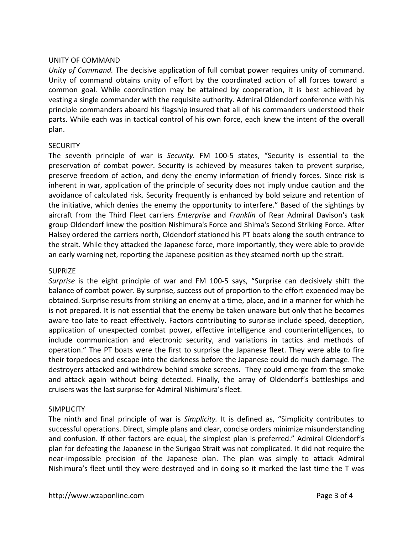#### UNITY OF COMMAND

*Unity of Command.* The decisive application of full combat power requires unity of command. Unity of command obtains unity of effort by the coordinated action of all forces toward a common goal. While coordination may be attained by cooperation, it is best achieved by vesting a single commander with the requisite authority. Admiral Oldendorf conference with his principle commanders aboard his flagship insured that all of his commanders understood their parts. While each was in tactical control of his own force, each knew the intent of the overall plan.

### **SECURITY**

The seventh principle of war is *Security.* FM 100-5 states, "Security is essential to the preservation of combat power. Security is achieved by measures taken to prevent surprise, preserve freedom of action, and deny the enemy information of friendly forces. Since risk is inherent in war, application of the principle of security does not imply undue caution and the avoidance of calculated risk. Security frequently is enhanced by bold seizure and retention of the initiative, which denies the enemy the opportunity to interfere." Based of the sightings by aircraft from the Third Fleet carriers *Enterprise* and *Franklin* of Rear Admiral Davison's task group Oldendorf knew the position Nishimura's Force and Shima's Second Striking Force. After Halsey ordered the carriers north, Oldendorf stationed his PT boats along the south entrance to the strait. While they attacked the Japanese force, more importantly, they were able to provide an early warning net, reporting the Japanese position as they steamed north up the strait.

#### **SUPRIZE**

*Surprise* is the eight principle of war and FM 100-5 says, "Surprise can decisively shift the balance of combat power. By surprise, success out of proportion to the effort expended may be obtained. Surprise results from striking an enemy at a time, place, and in a manner for which he is not prepared. It is not essential that the enemy be taken unaware but only that he becomes aware too late to react effectively. Factors contributing to surprise include speed, deception, application of unexpected combat power, effective intelligence and counterintelligences, to include communication and electronic security, and variations in tactics and methods of operation." The PT boats were the first to surprise the Japanese fleet. They were able to fire their torpedoes and escape into the darkness before the Japanese could do much damage. The destroyers attacked and withdrew behind smoke screens. They could emerge from the smoke and attack again without being detected. Finally, the array of Oldendorf's battleships and cruisers was the last surprise for Admiral Nishimura's fleet.

#### **SIMPLICITY**

The ninth and final principle of war is *Simplicity.* It is defined as, "Simplicity contributes to successful operations. Direct, simple plans and clear, concise orders minimize misunderstanding and confusion. If other factors are equal, the simplest plan is preferred." Admiral Oldendorf's plan for defeating the Japanese in the Surigao Strait was not complicated. It did not require the near-impossible precision of the Japanese plan. The plan was simply to attack Admiral Nishimura's fleet until they were destroyed and in doing so it marked the last time the T was